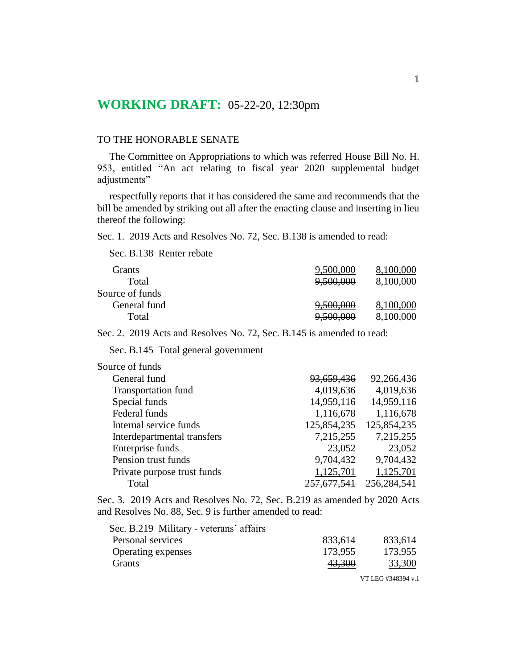# **WORKING DRAFT:** 05-22-20, 12:30pm

### TO THE HONORABLE SENATE

The Committee on Appropriations to which was referred House Bill No. H. 953, entitled "An act relating to fiscal year 2020 supplemental budget adjustments"

respectfully reports that it has considered the same and recommends that the bill be amended by striking out all after the enacting clause and inserting in lieu thereof the following:

Sec. 1. 2019 Acts and Resolves No. 72, Sec. B.138 is amended to read:

Sec. B.138 Renter rebate

| Grants          | 9,500,000            | 8,100,000 |
|-----------------|----------------------|-----------|
| Total           | 9,500,000            | 8,100,000 |
| Source of funds |                      |           |
| General fund    | <del>9,500,000</del> | 8,100,000 |
| Total           | 9,500,000            | 8,100,000 |

Sec. 2. 2019 Acts and Resolves No. 72, Sec. B.145 is amended to read:

Sec. B.145 Total general government

| Source of funds             |                       |             |
|-----------------------------|-----------------------|-------------|
| General fund                | <del>93,659,436</del> | 92,266,436  |
| <b>Transportation fund</b>  | 4,019,636             | 4,019,636   |
| Special funds               | 14,959,116            | 14,959,116  |
| Federal funds               | 1,116,678             | 1,116,678   |
| Internal service funds      | 125,854,235           | 125,854,235 |
| Interdepartmental transfers | 7,215,255             | 7,215,255   |
| Enterprise funds            | 23,052                | 23,052      |
| Pension trust funds         | 9,704,432             | 9,704,432   |
| Private purpose trust funds | 1,125,701             | 1,125,701   |
| Total                       | 257,677,541           | 256,284,541 |

Sec. 3. 2019 Acts and Resolves No. 72, Sec. B.219 as amended by 2020 Acts and Resolves No. 88, Sec. 9 is further amended to read:

| Sec. B.219 Military - veterans' affairs |         |         |
|-----------------------------------------|---------|---------|
| Personal services                       | 833,614 | 833,614 |
| <b>Operating expenses</b>               | 173,955 | 173,955 |
| <b>Grants</b>                           | 43,300  | 33,300  |
|                                         |         |         |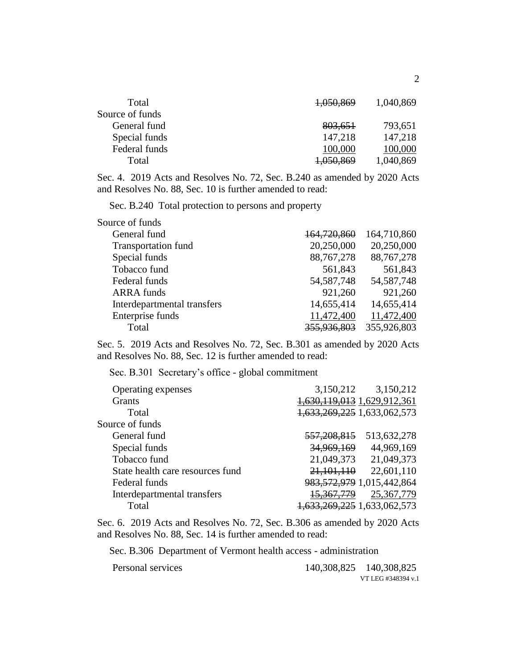| Total           | 1,050,869            | 1,040,869 |
|-----------------|----------------------|-----------|
| Source of funds |                      |           |
| General fund    | 803,651              | 793,651   |
| Special funds   | 147,218              | 147,218   |
| Federal funds   | 100,000              | 100,000   |
| Total           | <del>1,050,869</del> | 1,040,869 |

Sec. 4. 2019 Acts and Resolves No. 72, Sec. B.240 as amended by 2020 Acts and Resolves No. 88, Sec. 10 is further amended to read:

Sec. B.240 Total protection to persons and property

| Source of funds             |              |              |
|-----------------------------|--------------|--------------|
| General fund                | 164,720,860  | 164,710,860  |
| <b>Transportation fund</b>  | 20,250,000   | 20,250,000   |
| Special funds               | 88,767,278   | 88,767,278   |
| Tobacco fund                | 561,843      | 561,843      |
| Federal funds               | 54, 587, 748 | 54, 587, 748 |
| <b>ARRA</b> funds           | 921,260      | 921,260      |
| Interdepartmental transfers | 14,655,414   | 14,655,414   |
| Enterprise funds            | 11,472,400   | 11,472,400   |
| Total                       | 355,936,803  | 355,926,803  |

Sec. 5. 2019 Acts and Resolves No. 72, Sec. B.301 as amended by 2020 Acts and Resolves No. 88, Sec. 12 is further amended to read:

Sec. B.301 Secretary's office - global commitment

| Operating expenses               | 3,150,212                   | 3,150,212                      |
|----------------------------------|-----------------------------|--------------------------------|
| Grants                           | 1,630,119,013 1,629,912,361 |                                |
| Total                            | 1,633,269,225 1,633,062,573 |                                |
| Source of funds                  |                             |                                |
| General fund                     | <del>557,208,815</del>      | 513,632,278                    |
| Special funds                    | 34,969,169                  | 44,969,169                     |
| Tobacco fund                     | 21,049,373                  | 21,049,373                     |
| State health care resources fund | 21,101,110                  | 22,601,110                     |
| Federal funds                    |                             | 983, 572, 979 1, 015, 442, 864 |
| Interdepartmental transfers      | <del>15.367.779</del>       | 25,367,779                     |
| Total                            | 1,633,269,225 1,633,062,573 |                                |

Sec. 6. 2019 Acts and Resolves No. 72, Sec. B.306 as amended by 2020 Acts and Resolves No. 88, Sec. 14 is further amended to read:

Sec. B.306 Department of Vermont health access - administration

VT LEG #348394 v.1 Personal services 140,308,825 140,308,825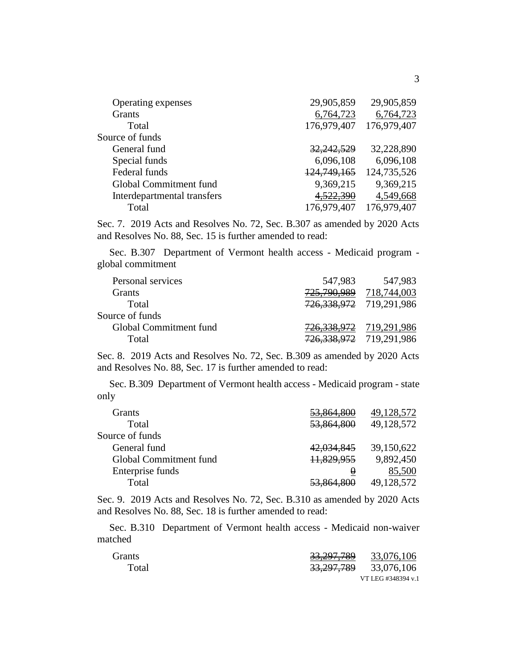| Operating expenses          | 29,905,859            | 29,905,859  |
|-----------------------------|-----------------------|-------------|
|                             |                       |             |
| Grants                      | 6,764,723             | 6,764,723   |
| Total                       | 176,979,407           | 176,979,407 |
| Source of funds             |                       |             |
| General fund                | <del>32,242,529</del> | 32,228,890  |
| Special funds               | 6,096,108             | 6,096,108   |
| Federal funds               | 124,749,165           | 124,735,526 |
| Global Commitment fund      | 9,369,215             | 9,369,215   |
| Interdepartmental transfers | 4,522,390             | 4,549,668   |
| Total                       | 176,979,407           | 176,979,407 |
|                             |                       |             |

Sec. 7. 2019 Acts and Resolves No. 72, Sec. B.307 as amended by 2020 Acts and Resolves No. 88, Sec. 15 is further amended to read:

Sec. B.307 Department of Vermont health access - Medicaid program global commitment

| 547,983     | 547,983                                                                                   |
|-------------|-------------------------------------------------------------------------------------------|
| 725,790,989 | 718,744,003                                                                               |
|             |                                                                                           |
|             |                                                                                           |
|             |                                                                                           |
|             |                                                                                           |
|             | 726, 338, 972 719, 291, 986<br>726, 338, 972 719, 291, 986<br>726, 338, 972 719, 291, 986 |

Sec. 8. 2019 Acts and Resolves No. 72, Sec. B.309 as amended by 2020 Acts and Resolves No. 88, Sec. 17 is further amended to read:

Sec. B.309 Department of Vermont health access - Medicaid program - state only

| Grants                 | <del>53,864,800</del> | 49,128,572 |
|------------------------|-----------------------|------------|
| Total                  | 53,864,800            | 49,128,572 |
| Source of funds        |                       |            |
| General fund           | 42,034,845            | 39,150,622 |
| Global Commitment fund | 11,829,955            | 9,892,450  |
| Enterprise funds       | O                     | 85,500     |
| Total                  | <del>53,864,800</del> | 49,128,572 |

Sec. 9. 2019 Acts and Resolves No. 72, Sec. B.310 as amended by 2020 Acts and Resolves No. 88, Sec. 18 is further amended to read:

Sec. B.310 Department of Vermont health access - Medicaid non-waiver matched

| <b>Grants</b> | 33,297,789            | 33,076,106         |
|---------------|-----------------------|--------------------|
| Total         | <del>33,297,789</del> | 33,076,106         |
|               |                       | VT LEG #348394 v.1 |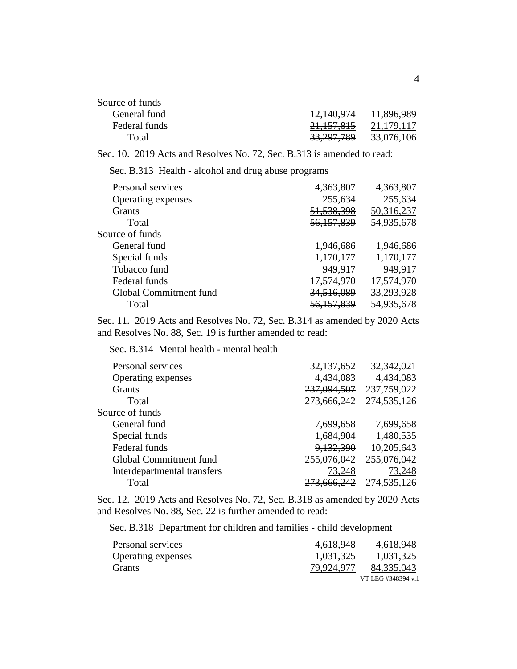| Source of funds |                       |            |
|-----------------|-----------------------|------------|
| General fund    | <del>12,140,974</del> | 11,896,989 |
| Federal funds   | 21, 157, 815          | 21,179,117 |
| Total           | 33,297,789            | 33,076,106 |

Sec. 10. 2019 Acts and Resolves No. 72, Sec. B.313 is amended to read:

Sec. B.313 Health - alcohol and drug abuse programs

| Personal services      | 4,363,807             | 4,363,807  |
|------------------------|-----------------------|------------|
| Operating expenses     | 255,634               | 255,634    |
| Grants                 | 51, 538, 398          | 50,316,237 |
| Total                  | 56,157,839            | 54,935,678 |
| Source of funds        |                       |            |
| General fund           | 1,946,686             | 1,946,686  |
| Special funds          | 1,170,177             | 1,170,177  |
| Tobacco fund           | 949,917               | 949,917    |
| Federal funds          | 17,574,970            | 17,574,970 |
| Global Commitment fund | <u>34.516.089</u>     | 33,293,928 |
| Total                  | <del>56,157,839</del> | 54,935,678 |

Sec. 11. 2019 Acts and Resolves No. 72, Sec. B.314 as amended by 2020 Acts and Resolves No. 88, Sec. 19 is further amended to read:

Sec. B.314 Mental health - mental health

| Personal services           | 32,137,652             | 32,342,021  |
|-----------------------------|------------------------|-------------|
| Operating expenses          | 4,434,083              | 4,434,083   |
| Grants                      | 237,094,507            | 237,759,022 |
| Total                       | 273,666,242            | 274,535,126 |
| Source of funds             |                        |             |
| General fund                | 7,699,658              | 7,699,658   |
| Special funds               | 1,684,904              | 1,480,535   |
| Federal funds               | 9,132,390              | 10,205,643  |
| Global Commitment fund      | 255,076,042            | 255,076,042 |
| Interdepartmental transfers | 73,248                 | 73,248      |
| Total                       | <del>273,666,242</del> | 274,535,126 |

Sec. 12. 2019 Acts and Resolves No. 72, Sec. B.318 as amended by 2020 Acts and Resolves No. 88, Sec. 22 is further amended to read:

Sec. B.318 Department for children and families - child development

| Personal services  | 4,618,948  | 4,618,948          |
|--------------------|------------|--------------------|
| Operating expenses | 1,031,325  | 1,031,325          |
| <b>Grants</b>      | 79,924,977 | 84,335,043         |
|                    |            | VT LEG #348394 v.1 |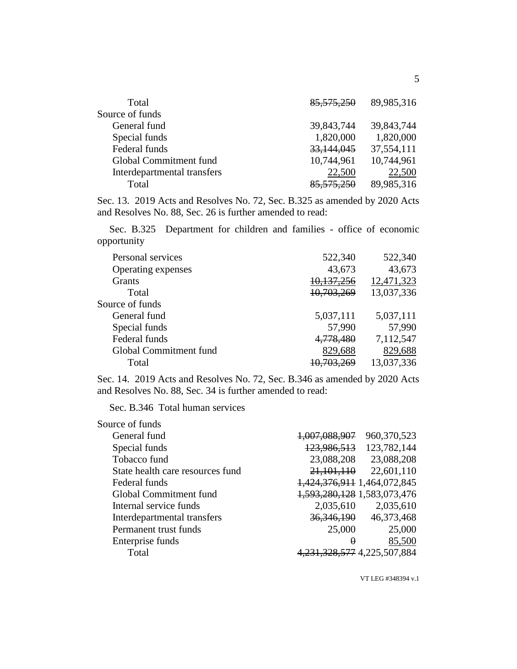| 85,575,250 | 89,985,316 |
|------------|------------|
|            |            |
| 39,843,744 | 39,843,744 |
| 1,820,000  | 1,820,000  |
| 33,144,045 | 37,554,111 |
| 10,744,961 | 10,744,961 |
| 22,500     | 22,500     |
| 85,575,250 | 89,985,316 |
|            |            |

Sec. 13. 2019 Acts and Resolves No. 72, Sec. B.325 as amended by 2020 Acts and Resolves No. 88, Sec. 26 is further amended to read:

Sec. B.325 Department for children and families - office of economic opportunity

| 522,340    | 522,340    |
|------------|------------|
| 43,673     | 43,673     |
| 10,137,256 | 12,471,323 |
| 10,703,269 | 13,037,336 |
|            |            |
| 5,037,111  | 5,037,111  |
| 57,990     | 57,990     |
| 4,778,480  | 7,112,547  |
| 829,688    | 829,688    |
|            | 13,037,336 |
|            |            |

Sec. 14. 2019 Acts and Resolves No. 72, Sec. B.346 as amended by 2020 Acts and Resolves No. 88, Sec. 34 is further amended to read:

Sec. B.346 Total human services

| Source of funds                  |                             |                           |
|----------------------------------|-----------------------------|---------------------------|
| General fund                     | 1,007,088,907               | 960,370,523               |
| Special funds                    | 123,986,513                 | 123,782,144               |
| Tobacco fund                     | 23,088,208                  | 23,088,208                |
| State health care resources fund | 21,101,110                  | 22,601,110                |
| Federal funds                    | 1,424,376,911 1,464,072,845 |                           |
| Global Commitment fund           | 1,593,280,128 1,583,073,476 |                           |
| Internal service funds           | 2,035,610                   | 2,035,610                 |
| Interdepartmental transfers      | 36, 346, 190                | 46,373,468                |
| Permanent trust funds            | 25,000                      | 25,000                    |
| Enterprise funds                 | 0                           | 85,500                    |
| Total                            |                             | 328, 577 4, 225, 507, 884 |
|                                  |                             |                           |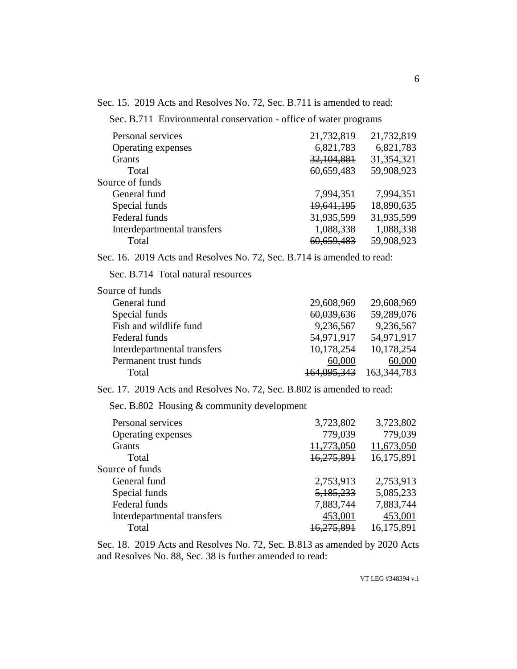Sec. 15. 2019 Acts and Resolves No. 72, Sec. B.711 is amended to read:

Sec. B.711 Environmental conservation - office of water programs

| Personal services           | 21,732,819            | 21,732,819 |
|-----------------------------|-----------------------|------------|
| Operating expenses          | 6,821,783             | 6,821,783  |
| <b>Grants</b>               | 32,104,881            | 31,354,321 |
| Total                       | 60,659,483            | 59,908,923 |
| Source of funds             |                       |            |
| General fund                | 7,994,351             | 7,994,351  |
| Special funds               | 19,641,195            | 18,890,635 |
| Federal funds               | 31,935,599            | 31,935,599 |
| Interdepartmental transfers | 1,088,338             | 1,088,338  |
| Total                       | <del>60,659,483</del> | 59,908,923 |

Sec. 16. 2019 Acts and Resolves No. 72, Sec. B.714 is amended to read:

Sec. B.714 Total natural resources

| Source of funds             |                        |               |
|-----------------------------|------------------------|---------------|
| General fund                | 29,608,969             | 29,608,969    |
| Special funds               | 60,039,636             | 59,289,076    |
| Fish and wildlife fund      | 9,236,567              | 9,236,567     |
| Federal funds               | 54,971,917             | 54,971,917    |
| Interdepartmental transfers | 10,178,254             | 10,178,254    |
| Permanent trust funds       | 60,000                 | 60,000        |
| Total                       | <del>164,095,343</del> | 163, 344, 783 |

Sec. 17. 2019 Acts and Resolves No. 72, Sec. B.802 is amended to read:

Sec. B.802 Housing & community development

| Personal services           | 3,723,802              | 3,723,802  |
|-----------------------------|------------------------|------------|
| Operating expenses          | 779,039                | 779,039    |
| <b>Grants</b>               | 11,773,050             | 11,673,050 |
| Total                       | 16,275,891             | 16,175,891 |
| Source of funds             |                        |            |
| General fund                | 2,753,913              | 2,753,913  |
| Special funds               | 5,185,233              | 5,085,233  |
| Federal funds               | 7,883,744              | 7,883,744  |
| Interdepartmental transfers | 453,001                | 453,001    |
| Total                       | <del>16.275.89</del> 1 | 16,175,891 |

Sec. 18. 2019 Acts and Resolves No. 72, Sec. B.813 as amended by 2020 Acts and Resolves No. 88, Sec. 38 is further amended to read: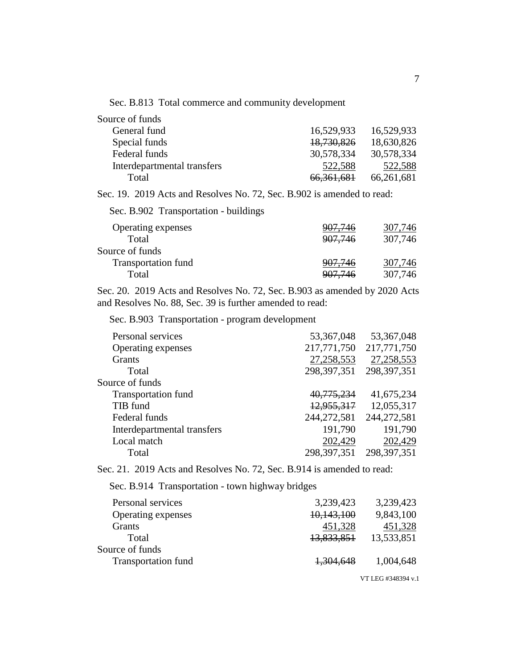Sec. B.813 Total commerce and community development

| Source of funds             |              |            |
|-----------------------------|--------------|------------|
| General fund                | 16,529,933   | 16,529,933 |
| Special funds               | 18,730,826   | 18,630,826 |
| Federal funds               | 30,578,334   | 30,578,334 |
| Interdepartmental transfers | 522,588      | 522,588    |
| Total                       | 66, 361, 681 | 66,261,681 |

Sec. 19. 2019 Acts and Resolves No. 72, Sec. B.902 is amended to read:

Sec. B.902 Transportation - buildings

| Operating expenses  | 907,746 | 307,746 |
|---------------------|---------|---------|
| Total               | 907,746 | 307,746 |
| Source of funds     |         |         |
| Transportation fund | 907,746 | 307,746 |
| Total               | 907,746 | 307,746 |
|                     |         |         |

Sec. 20. 2019 Acts and Resolves No. 72, Sec. B.903 as amended by 2020 Acts and Resolves No. 88, Sec. 39 is further amended to read:

Sec. B.903 Transportation - program development

| Personal services           | 53, 367, 048  | 53, 367, 048  |
|-----------------------------|---------------|---------------|
| Operating expenses          | 217,771,750   | 217,771,750   |
| <b>Grants</b>               | 27,258,553    | 27, 258, 553  |
| Total                       | 298, 397, 351 | 298, 397, 351 |
| Source of funds             |               |               |
| <b>Transportation fund</b>  | 40,775,234    | 41,675,234    |
| TIB fund                    | 12,955,317    | 12,055,317    |
| Federal funds               | 244,272,581   | 244,272,581   |
| Interdepartmental transfers | 191,790       | 191,790       |
| Local match                 | 202,429       | 202,429       |
| Total                       | 298, 397, 351 | 298, 397, 351 |

Sec. 21. 2019 Acts and Resolves No. 72, Sec. B.914 is amended to read:

Sec. B.914 Transportation - town highway bridges

| Personal services          | 3,239,423  | 3,239,423  |
|----------------------------|------------|------------|
| Operating expenses         | 10,143,100 | 9,843,100  |
| <b>Grants</b>              | 451,328    | 451,328    |
| Total                      | 13,833,851 | 13,533,851 |
| Source of funds            |            |            |
| <b>Transportation fund</b> | 1,304,648  | 1,004,648  |
|                            |            |            |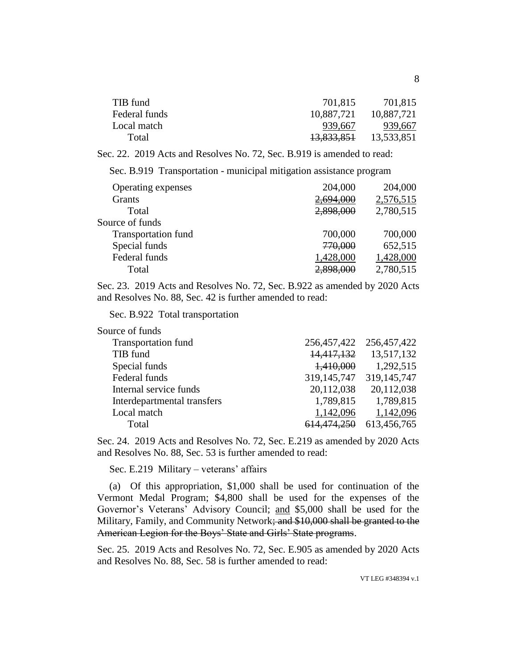| TIB fund      | 701,815    | 701,815    |
|---------------|------------|------------|
| Federal funds | 10,887,721 | 10,887,721 |
| Local match   | 939.667    | 939,667    |
| Total         | 13,833,851 | 13,533,851 |

Sec. 22. 2019 Acts and Resolves No. 72, Sec. B.919 is amended to read:

Sec. B.919 Transportation - municipal mitigation assistance program

| Operating expenses         | 204,000   | 204,000   |
|----------------------------|-----------|-----------|
| <b>Grants</b>              | 2,694,000 | 2,576,515 |
| Total                      | 2,898,000 | 2,780,515 |
| Source of funds            |           |           |
| <b>Transportation fund</b> | 700,000   | 700,000   |
| Special funds              | 770,000   | 652,515   |
| Federal funds              | 1,428,000 | 1,428,000 |
| Total                      |           | 2,780,515 |

Sec. 23. 2019 Acts and Resolves No. 72, Sec. B.922 as amended by 2020 Acts and Resolves No. 88, Sec. 42 is further amended to read:

Sec. B.922 Total transportation

| Source of funds             |                         |               |
|-----------------------------|-------------------------|---------------|
| Transportation fund         | 256,457,422 256,457,422 |               |
| TIB fund                    | 14,417,132              | 13,517,132    |
| Special funds               | 1,410,000               | 1,292,515     |
| Federal funds               | 319, 145, 747           | 319, 145, 747 |
| Internal service funds      | 20,112,038              | 20,112,038    |
| Interdepartmental transfers | 1,789,815               | 1,789,815     |
| Local match                 | 1,142,096               | 1,142,096     |
| Total                       | <del>614,474,250</del>  | 613,456,765   |

Sec. 24. 2019 Acts and Resolves No. 72, Sec. E.219 as amended by 2020 Acts and Resolves No. 88, Sec. 53 is further amended to read:

Sec. E.219 Military – veterans' affairs

(a) Of this appropriation, \$1,000 shall be used for continuation of the Vermont Medal Program; \$4,800 shall be used for the expenses of the Governor's Veterans' Advisory Council; and \$5,000 shall be used for the Military, Family, and Community Network; and \$10,000 shall be granted to the American Legion for the Boys' State and Girls' State programs.

Sec. 25. 2019 Acts and Resolves No. 72, Sec. E.905 as amended by 2020 Acts and Resolves No. 88, Sec. 58 is further amended to read: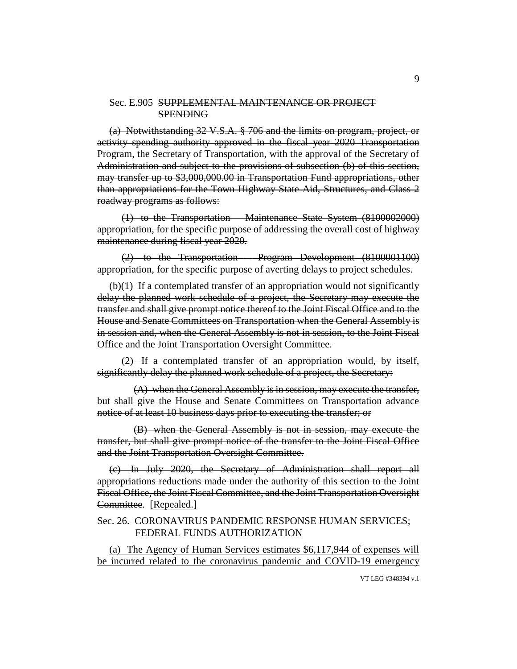#### Sec. E.905 SUPPLEMENTAL MAINTENANCE OR PROJECT SPENDING

(a) Notwithstanding 32 V.S.A. § 706 and the limits on program, project, or activity spending authority approved in the fiscal year 2020 Transportation Program, the Secretary of Transportation, with the approval of the Secretary of Administration and subject to the provisions of subsection (b) of this section, may transfer up to \$3,000,000.00 in Transportation Fund appropriations, other than appropriations for the Town Highway State Aid, Structures, and Class 2 roadway programs as follows:

(1) to the Transportation – Maintenance State System (8100002000) appropriation, for the specific purpose of addressing the overall cost of highway maintenance during fiscal year 2020.

(2) to the Transportation – Program Development (8100001100) appropriation, for the specific purpose of averting delays to project schedules.

(b)(1) If a contemplated transfer of an appropriation would not significantly delay the planned work schedule of a project, the Secretary may execute the transfer and shall give prompt notice thereof to the Joint Fiscal Office and to the House and Senate Committees on Transportation when the General Assembly is in session and, when the General Assembly is not in session, to the Joint Fiscal Office and the Joint Transportation Oversight Committee.

(2) If a contemplated transfer of an appropriation would, by itself, significantly delay the planned work schedule of a project, the Secretary:

(A) when the General Assembly is in session, may execute the transfer, but shall give the House and Senate Committees on Transportation advance notice of at least 10 business days prior to executing the transfer; or

(B) when the General Assembly is not in session, may execute the transfer, but shall give prompt notice of the transfer to the Joint Fiscal Office and the Joint Transportation Oversight Committee.

(c) In July 2020, the Secretary of Administration shall report all appropriations reductions made under the authority of this section to the Joint Fiscal Office, the Joint Fiscal Committee, and the Joint Transportation Oversight Committee. [Repealed.]

### Sec. 26. CORONAVIRUS PANDEMIC RESPONSE HUMAN SERVICES; FEDERAL FUNDS AUTHORIZATION

(a) The Agency of Human Services estimates \$6,117,944 of expenses will be incurred related to the coronavirus pandemic and COVID-19 emergency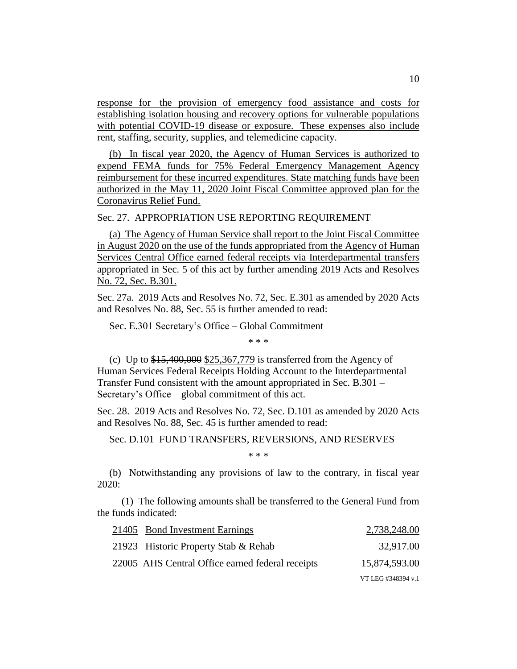response for the provision of emergency food assistance and costs for establishing isolation housing and recovery options for vulnerable populations with potential COVID-19 disease or exposure. These expenses also include rent, staffing, security, supplies, and telemedicine capacity.

(b) In fiscal year 2020, the Agency of Human Services is authorized to expend FEMA funds for 75% Federal Emergency Management Agency reimbursement for these incurred expenditures. State matching funds have been authorized in the May 11, 2020 Joint Fiscal Committee approved plan for the Coronavirus Relief Fund.

## Sec. 27. APPROPRIATION USE REPORTING REQUIREMENT

(a) The Agency of Human Service shall report to the Joint Fiscal Committee in August 2020 on the use of the funds appropriated from the Agency of Human Services Central Office earned federal receipts via Interdepartmental transfers appropriated in Sec. 5 of this act by further amending 2019 Acts and Resolves No. 72, Sec. B.301.

Sec. 27a. 2019 Acts and Resolves No. 72, Sec. E.301 as amended by 2020 Acts and Resolves No. 88, Sec. 55 is further amended to read:

Sec. E.301 Secretary's Office – Global Commitment

\* \* \*

(c) Up to  $$15,400,000$   $$25,367,779$  is transferred from the Agency of Human Services Federal Receipts Holding Account to the Interdepartmental Transfer Fund consistent with the amount appropriated in Sec. B.301 – Secretary's Office – global commitment of this act.

Sec. 28. 2019 Acts and Resolves No. 72, Sec. D.101 as amended by 2020 Acts and Resolves No. 88, Sec. 45 is further amended to read:

Sec. D.101 FUND TRANSFERS, REVERSIONS, AND RESERVES

\* \* \*

(b) Notwithstanding any provisions of law to the contrary, in fiscal year 2020:

(1) The following amounts shall be transferred to the General Fund from the funds indicated:

| 21405 Bond Investment Earnings                   | 2,738,248.00       |
|--------------------------------------------------|--------------------|
| 21923 Historic Property Stab & Rehab             | 32,917.00          |
| 22005 AHS Central Office earned federal receipts | 15,874,593.00      |
|                                                  | VT LEG #348394 v.1 |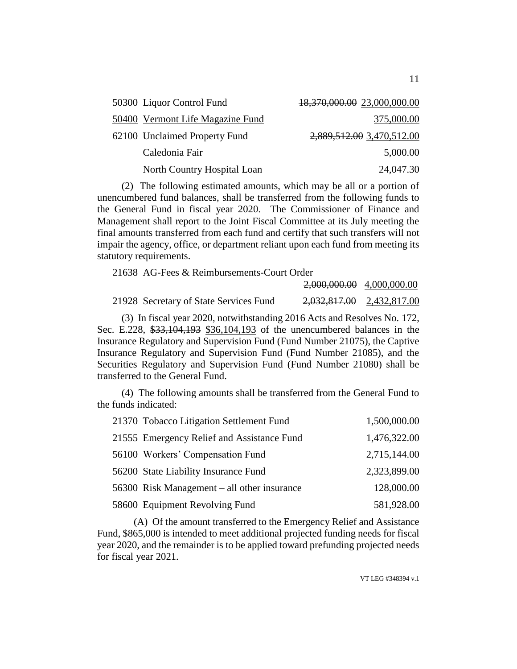| 50300 Liquor Control Fund        | 18,370,000.00 23,000,000.00 |
|----------------------------------|-----------------------------|
| 50400 Vermont Life Magazine Fund | 375,000.00                  |
| 62100 Unclaimed Property Fund    | 2,889,512.00 3,470,512.00   |
| Caledonia Fair                   | 5,000.00                    |
| North Country Hospital Loan      | 24,047.30                   |

(2) The following estimated amounts, which may be all or a portion of unencumbered fund balances, shall be transferred from the following funds to the General Fund in fiscal year 2020. The Commissioner of Finance and Management shall report to the Joint Fiscal Committee at its July meeting the final amounts transferred from each fund and certify that such transfers will not impair the agency, office, or department reliant upon each fund from meeting its statutory requirements.

21638 AG-Fees & Reimbursements-Court Order 2,000,000.00 4,000,000.00 21928 Secretary of State Services Fund 2,032,817.00 2,432,817.00

(3) In fiscal year 2020, notwithstanding 2016 Acts and Resolves No. 172, Sec. E.228, \$33,104,193 \$36,104,193 of the unencumbered balances in the Insurance Regulatory and Supervision Fund (Fund Number 21075), the Captive Insurance Regulatory and Supervision Fund (Fund Number 21085), and the Securities Regulatory and Supervision Fund (Fund Number 21080) shall be transferred to the General Fund.

(4) The following amounts shall be transferred from the General Fund to the funds indicated:

| 21370 Tobacco Litigation Settlement Fund      | 1,500,000.00 |
|-----------------------------------------------|--------------|
| 21555 Emergency Relief and Assistance Fund    | 1,476,322.00 |
| 56100 Workers' Compensation Fund              | 2,715,144.00 |
| 56200 State Liability Insurance Fund          | 2,323,899.00 |
| 56300 Risk Management $-$ all other insurance | 128,000.00   |
| 58600 Equipment Revolving Fund                | 581,928.00   |

(A) Of the amount transferred to the Emergency Relief and Assistance Fund, \$865,000 is intended to meet additional projected funding needs for fiscal year 2020, and the remainder is to be applied toward prefunding projected needs for fiscal year 2021.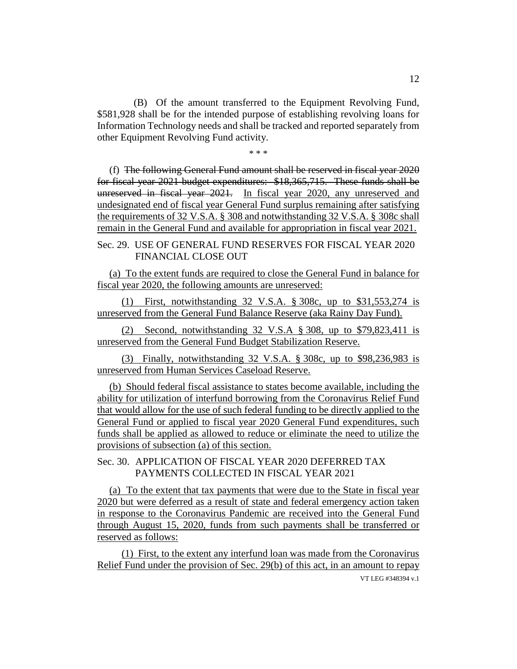(B) Of the amount transferred to the Equipment Revolving Fund, \$581,928 shall be for the intended purpose of establishing revolving loans for Information Technology needs and shall be tracked and reported separately from other Equipment Revolving Fund activity.

\* \* \*

(f) The following General Fund amount shall be reserved in fiscal year 2020 for fiscal year 2021 budget expenditures: \$18,365,715. These funds shall be unreserved in fiscal year 2021. In fiscal year 2020, any unreserved and undesignated end of fiscal year General Fund surplus remaining after satisfying the requirements of 32 V.S.A. § 308 and notwithstanding 32 V.S.A. § 308c shall remain in the General Fund and available for appropriation in fiscal year 2021.

Sec. 29. USE OF GENERAL FUND RESERVES FOR FISCAL YEAR 2020 FINANCIAL CLOSE OUT

(a) To the extent funds are required to close the General Fund in balance for fiscal year 2020, the following amounts are unreserved:

(1) First, notwithstanding 32 V.S.A. § 308c, up to \$31,553,274 is unreserved from the General Fund Balance Reserve (aka Rainy Day Fund).

(2) Second, notwithstanding 32 V.S.A § 308, up to \$79,823,411 is unreserved from the General Fund Budget Stabilization Reserve.

(3) Finally, notwithstanding 32 V.S.A. § 308c, up to \$98,236,983 is unreserved from Human Services Caseload Reserve.

(b) Should federal fiscal assistance to states become available, including the ability for utilization of interfund borrowing from the Coronavirus Relief Fund that would allow for the use of such federal funding to be directly applied to the General Fund or applied to fiscal year 2020 General Fund expenditures, such funds shall be applied as allowed to reduce or eliminate the need to utilize the provisions of subsection (a) of this section.

Sec. 30. APPLICATION OF FISCAL YEAR 2020 DEFERRED TAX PAYMENTS COLLECTED IN FISCAL YEAR 2021

(a) To the extent that tax payments that were due to the State in fiscal year 2020 but were deferred as a result of state and federal emergency action taken in response to the Coronavirus Pandemic are received into the General Fund through August 15, 2020, funds from such payments shall be transferred or reserved as follows:

VT LEG #348394 v.1 (1) First, to the extent any interfund loan was made from the Coronavirus Relief Fund under the provision of Sec. 29(b) of this act, in an amount to repay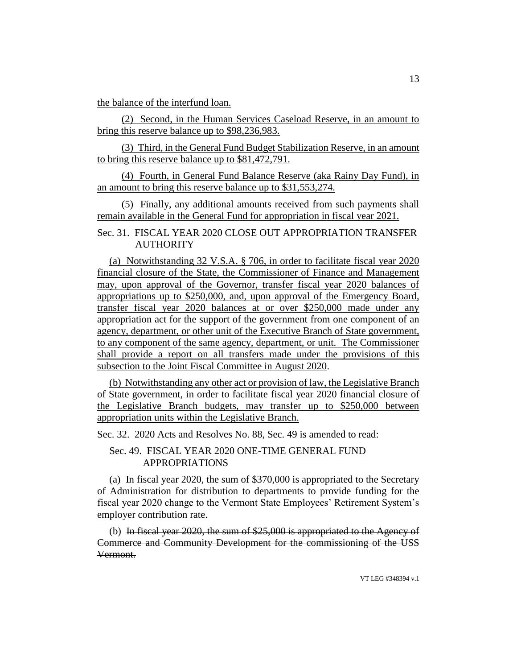the balance of the interfund loan.

(2) Second, in the Human Services Caseload Reserve, in an amount to bring this reserve balance up to \$98,236,983.

(3) Third, in the General Fund Budget Stabilization Reserve, in an amount to bring this reserve balance up to \$81,472,791.

(4) Fourth, in General Fund Balance Reserve (aka Rainy Day Fund), in an amount to bring this reserve balance up to \$31,553,274.

(5) Finally, any additional amounts received from such payments shall remain available in the General Fund for appropriation in fiscal year 2021.

Sec. 31. FISCAL YEAR 2020 CLOSE OUT APPROPRIATION TRANSFER **AUTHORITY** 

(a) Notwithstanding 32 V.S.A. § 706, in order to facilitate fiscal year 2020 financial closure of the State, the Commissioner of Finance and Management may, upon approval of the Governor, transfer fiscal year 2020 balances of appropriations up to \$250,000, and, upon approval of the Emergency Board, transfer fiscal year 2020 balances at or over \$250,000 made under any appropriation act for the support of the government from one component of an agency, department, or other unit of the Executive Branch of State government, to any component of the same agency, department, or unit. The Commissioner shall provide a report on all transfers made under the provisions of this subsection to the Joint Fiscal Committee in August 2020.

(b) Notwithstanding any other act or provision of law, the Legislative Branch of State government, in order to facilitate fiscal year 2020 financial closure of the Legislative Branch budgets, may transfer up to \$250,000 between appropriation units within the Legislative Branch.

Sec. 32. 2020 Acts and Resolves No. 88, Sec. 49 is amended to read:

## Sec. 49. FISCAL YEAR 2020 ONE-TIME GENERAL FUND APPROPRIATIONS

(a) In fiscal year 2020, the sum of \$370,000 is appropriated to the Secretary of Administration for distribution to departments to provide funding for the fiscal year 2020 change to the Vermont State Employees' Retirement System's employer contribution rate.

(b) In fiscal year 2020, the sum of \$25,000 is appropriated to the Agency of Commerce and Community Development for the commissioning of the USS Vermont.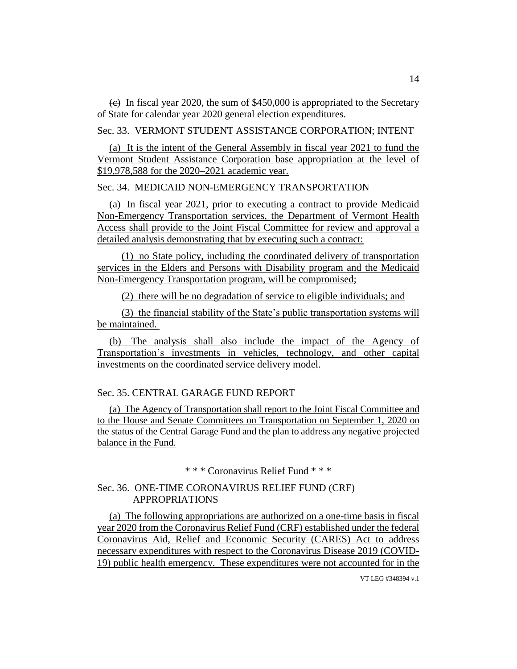$\left(\frac{e}{c}\right)$  In fiscal year 2020, the sum of \$450,000 is appropriated to the Secretary of State for calendar year 2020 general election expenditures.

Sec. 33. VERMONT STUDENT ASSISTANCE CORPORATION; INTENT

(a) It is the intent of the General Assembly in fiscal year 2021 to fund the Vermont Student Assistance Corporation base appropriation at the level of \$19,978,588 for the 2020–2021 academic year.

Sec. 34. MEDICAID NON-EMERGENCY TRANSPORTATION

(a) In fiscal year 2021, prior to executing a contract to provide Medicaid Non-Emergency Transportation services, the Department of Vermont Health Access shall provide to the Joint Fiscal Committee for review and approval a detailed analysis demonstrating that by executing such a contract:

(1) no State policy, including the coordinated delivery of transportation services in the Elders and Persons with Disability program and the Medicaid Non-Emergency Transportation program, will be compromised;

(2) there will be no degradation of service to eligible individuals; and

(3) the financial stability of the State's public transportation systems will be maintained.

(b) The analysis shall also include the impact of the Agency of Transportation's investments in vehicles, technology, and other capital investments on the coordinated service delivery model.

### Sec. 35. CENTRAL GARAGE FUND REPORT

(a) The Agency of Transportation shall report to the Joint Fiscal Committee and to the House and Senate Committees on Transportation on September 1, 2020 on the status of the Central Garage Fund and the plan to address any negative projected balance in the Fund.

\* \* \* Coronavirus Relief Fund \* \* \*

### Sec. 36. ONE-TIME CORONAVIRUS RELIEF FUND (CRF) APPROPRIATIONS

(a) The following appropriations are authorized on a one-time basis in fiscal year 2020 from the Coronavirus Relief Fund (CRF) established under the federal Coronavirus Aid, Relief and Economic Security (CARES) Act to address necessary expenditures with respect to the Coronavirus Disease 2019 (COVID-19) public health emergency. These expenditures were not accounted for in the

14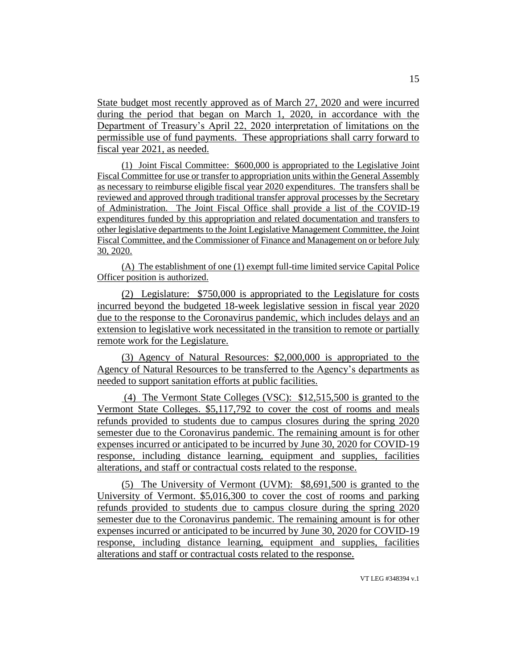State budget most recently approved as of March 27, 2020 and were incurred during the period that began on March 1, 2020, in accordance with the Department of Treasury's April 22, 2020 interpretation of limitations on the permissible use of fund payments. These appropriations shall carry forward to fiscal year 2021, as needed.

(1) Joint Fiscal Committee: \$600,000 is appropriated to the Legislative Joint Fiscal Committee for use or transfer to appropriation units within the General Assembly as necessary to reimburse eligible fiscal year 2020 expenditures. The transfers shall be reviewed and approved through traditional transfer approval processes by the Secretary of Administration. The Joint Fiscal Office shall provide a list of the COVID-19 expenditures funded by this appropriation and related documentation and transfers to other legislative departments to the Joint Legislative Management Committee, the Joint Fiscal Committee, and the Commissioner of Finance and Management on or before July 30, 2020.

(A) The establishment of one (1) exempt full-time limited service Capital Police Officer position is authorized.

(2) Legislature: \$750,000 is appropriated to the Legislature for costs incurred beyond the budgeted 18-week legislative session in fiscal year 2020 due to the response to the Coronavirus pandemic, which includes delays and an extension to legislative work necessitated in the transition to remote or partially remote work for the Legislature.

(3) Agency of Natural Resources: \$2,000,000 is appropriated to the Agency of Natural Resources to be transferred to the Agency's departments as needed to support sanitation efforts at public facilities.

(4) The Vermont State Colleges (VSC): \$12,515,500 is granted to the Vermont State Colleges. \$5,117,792 to cover the cost of rooms and meals refunds provided to students due to campus closures during the spring 2020 semester due to the Coronavirus pandemic. The remaining amount is for other expenses incurred or anticipated to be incurred by June 30, 2020 for COVID-19 response, including distance learning, equipment and supplies, facilities alterations, and staff or contractual costs related to the response.

(5) The University of Vermont (UVM): \$8,691,500 is granted to the University of Vermont. \$5,016,300 to cover the cost of rooms and parking refunds provided to students due to campus closure during the spring 2020 semester due to the Coronavirus pandemic. The remaining amount is for other expenses incurred or anticipated to be incurred by June 30, 2020 for COVID-19 response, including distance learning, equipment and supplies, facilities alterations and staff or contractual costs related to the response.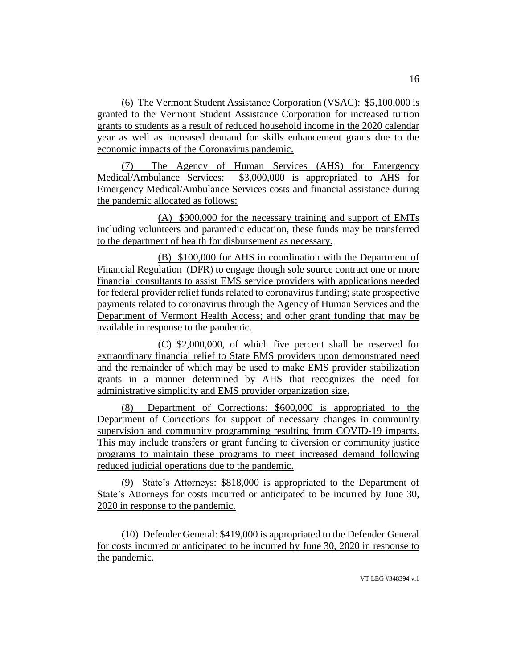(6) The Vermont Student Assistance Corporation (VSAC): \$5,100,000 is granted to the Vermont Student Assistance Corporation for increased tuition grants to students as a result of reduced household income in the 2020 calendar year as well as increased demand for skills enhancement grants due to the economic impacts of the Coronavirus pandemic.

(7) The Agency of Human Services (AHS) for Emergency Medical/Ambulance Services: \$3,000,000 is appropriated to AHS for Emergency Medical/Ambulance Services costs and financial assistance during the pandemic allocated as follows:

(A) \$900,000 for the necessary training and support of EMTs including volunteers and paramedic education, these funds may be transferred to the department of health for disbursement as necessary.

(B) \$100,000 for AHS in coordination with the Department of Financial Regulation (DFR) to engage though sole source contract one or more financial consultants to assist EMS service providers with applications needed for federal provider relief funds related to coronavirus funding; state prospective payments related to coronavirus through the Agency of Human Services and the Department of Vermont Health Access; and other grant funding that may be available in response to the pandemic.

(C) \$2,000,000, of which five percent shall be reserved for extraordinary financial relief to State EMS providers upon demonstrated need and the remainder of which may be used to make EMS provider stabilization grants in a manner determined by AHS that recognizes the need for administrative simplicity and EMS provider organization size.

(8) Department of Corrections: \$600,000 is appropriated to the Department of Corrections for support of necessary changes in community supervision and community programming resulting from COVID-19 impacts. This may include transfers or grant funding to diversion or community justice programs to maintain these programs to meet increased demand following reduced judicial operations due to the pandemic.

(9) State's Attorneys: \$818,000 is appropriated to the Department of State's Attorneys for costs incurred or anticipated to be incurred by June 30, 2020 in response to the pandemic.

(10) Defender General: \$419,000 is appropriated to the Defender General for costs incurred or anticipated to be incurred by June 30, 2020 in response to the pandemic.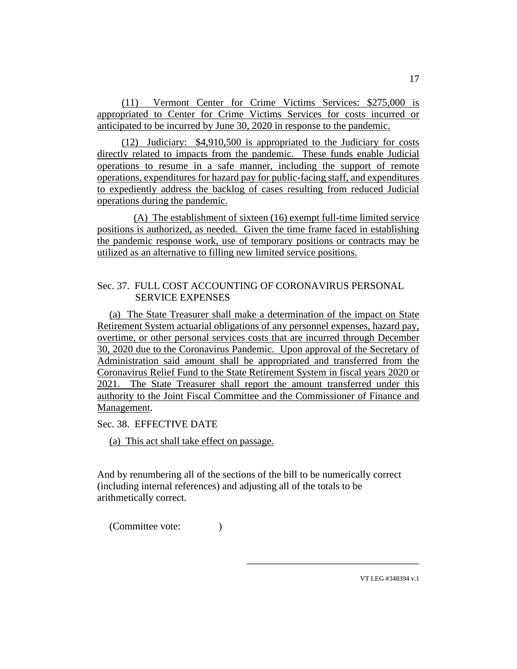(11) Vermont Center for Crime Victims Services: \$275,000 is appropriated to Center for Crime Victims Services for costs incurred or anticipated to be incurred by June 30, 2020 in response to the pandemic.

(12) Judiciary: \$4,910,500 is appropriated to the Judiciary for costs directly related to impacts from the pandemic. These funds enable Judicial operations to resume in a safe manner, including the support of remote operations, expenditures for hazard pay for public-facing staff, and expenditures to expediently address the backlog of cases resulting from reduced Judicial operations during the pandemic.

(A) The establishment of sixteen (16) exempt full-time limited service positions is authorized, as needed. Given the time frame faced in establishing the pandemic response work, use of temporary positions or contracts may be utilized as an alternative to filling new limited service positions.

### Sec. 37. FULL COST ACCOUNTING OF CORONAVIRUS PERSONAL SERVICE EXPENSES

(a) The State Treasurer shall make a determination of the impact on State Retirement System actuarial obligations of any personnel expenses, hazard pay, overtime, or other personal services costs that are incurred through December 30, 2020 due to the Coronavirus Pandemic. Upon approval of the Secretary of Administration said amount shall be appropriated and transferred from the Coronavirus Relief Fund to the State Retirement System in fiscal years 2020 or 2021. The State Treasurer shall report the amount transferred under this authority to the Joint Fiscal Committee and the Commissioner of Finance and Management.

Sec. 38. EFFECTIVE DATE

(a) This act shall take effect on passage.

And by renumbering all of the sections of the bill to be numerically correct (including internal references) and adjusting all of the totals to be arithmetically correct.

(Committee vote: )

17

VT LEG #348394 v.1

\_\_\_\_\_\_\_\_\_\_\_\_\_\_\_\_\_\_\_\_\_\_\_\_\_\_\_\_\_\_\_\_\_\_